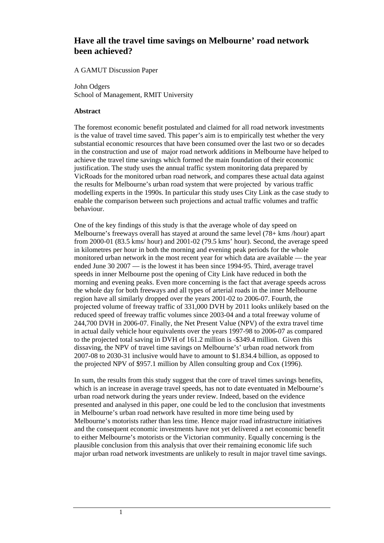# **Have all the travel time savings on Melbourne' road network been achieved?**

### A GAMUT Discussion Paper

John Odgers School of Management, RMIT University

### **Abstract**

The foremost economic benefit postulated and claimed for all road network investments is the value of travel time saved. This paper's aim is to empirically test whether the very substantial economic resources that have been consumed over the last two or so decades in the construction and use of major road network additions in Melbourne have helped to achieve the travel time savings which formed the main foundation of their economic justification. The study uses the annual traffic system monitoring data prepared by VicRoads for the monitored urban road network, and compares these actual data against the results for Melbourne's urban road system that were projected by various traffic modelling experts in the 1990s. In particular this study uses City Link as the case study to enable the comparison between such projections and actual traffic volumes and traffic behaviour.

One of the key findings of this study is that the average whole of day speed on Melbourne's freeways overall has stayed at around the same level (78+ kms /hour) apart from 2000-01 (83.5 kms/ hour) and 2001-02 (79.5 kms' hour). Second, the average speed in kilometres per hour in both the morning and evening peak periods for the whole monitored urban network in the most recent year for which data are available — the year ended June 30 2007 — is the lowest it has been since 1994-95. Third, average travel speeds in inner Melbourne post the opening of City Link have reduced in both the morning and evening peaks. Even more concerning is the fact that average speeds across the whole day for both freeways and all types of arterial roads in the inner Melbourne region have all similarly dropped over the years 2001-02 to 2006-07. Fourth, the projected volume of freeway traffic of 331,000 DVH by 2011 looks unlikely based on the reduced speed of freeway traffic volumes since 2003-04 and a total freeway volume of 244,700 DVH in 2006-07. Finally, the Net Present Value (NPV) of the extra travel time in actual daily vehicle hour equivalents over the years 1997-98 to 2006-07 as compared to the projected total saving in DVH of 161.2 million is -\$349.4 million. Given this dissaving, the NPV of travel time savings on Melbourne's' urban road network from 2007-08 to 2030-31 inclusive would have to amount to \$1.834.4 billion, as opposed to the projected NPV of \$957.1 million by Allen consulting group and Cox (1996).

In sum, the results from this study suggest that the core of travel times savings benefits, which is an increase in average travel speeds, has not to date eventuated in Melbourne's urban road network during the years under review. Indeed, based on the evidence presented and analysed in this paper, one could be led to the conclusion that investments in Melbourne's urban road network have resulted in more time being used by Melbourne's motorists rather than less time. Hence major road infrastructure initiatives and the consequent economic investments have not yet delivered a net economic benefit to either Melbourne's motorists or the Victorian community. Equally concerning is the plausible conclusion from this analysis that over their remaining economic life such major urban road network investments are unlikely to result in major travel time savings.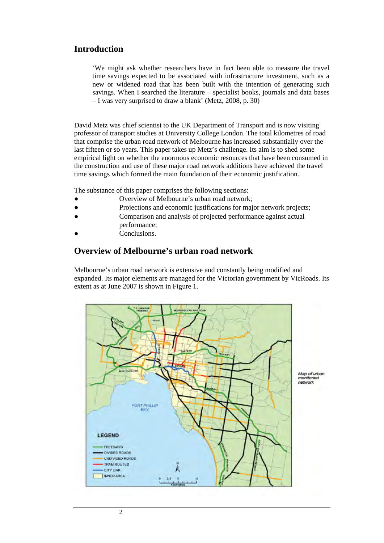## **Introduction**

'We might ask whether researchers have in fact been able to measure the travel time savings expected to be associated with infrastructure investment, such as a new or widened road that has been built with the intention of generating such savings. When I searched the literature – specialist books, journals and data bases – I was very surprised to draw a blank' (Metz, 2008, p. 30)

David Metz was chief scientist to the UK Department of Transport and is now visiting professor of transport studies at University College London. The total kilometres of road that comprise the urban road network of Melbourne has increased substantially over the last fifteen or so years. This paper takes up Metz's challenge. Its aim is to shed some empirical light on whether the enormous economic resources that have been consumed in the construction and use of these major road network additions have achieved the travel time savings which formed the main foundation of their economic justification.

The substance of this paper comprises the following sections:

- Overview of Melbourne's urban road network;
- Projections and economic justifications for major network projects;
- Comparison and analysis of projected performance against actual performance;
- Conclusions.

### **Overview of Melbourne's urban road network**

Melbourne's urban road network is extensive and constantly being modified and expanded. Its major elements are managed for the Victorian government by VicRoads. Its extent as at June 2007 is shown in Figure 1.

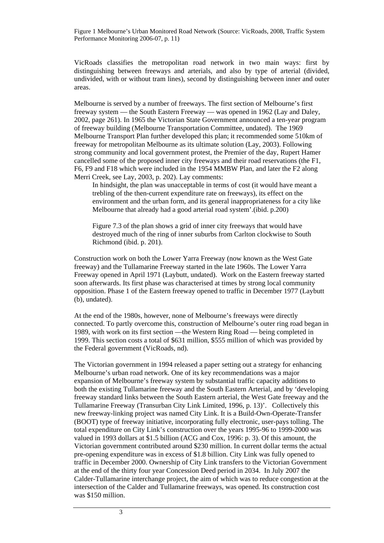Figure 1 Melbourne's Urban Monitored Road Network (Source: VicRoads, 2008, Traffic System Performance Monitoring 2006-07, p. 11)

VicRoads classifies the metropolitan road network in two main ways: first by distinguishing between freeways and arterials, and also by type of arterial (divided, undivided, with or without tram lines), second by distinguishing between inner and outer areas.

Melbourne is served by a number of freeways. The first section of Melbourne's first freeway system — the South Eastern Freeway — was opened in 1962 (Lay and Daley, 2002, page 261). In 1965 the Victorian State Government announced a ten-year program of freeway building (Melbourne Transportation Committee, undated). The 1969 Melbourne Transport Plan further developed this plan; it recommended some 510km of freeway for metropolitan Melbourne as its ultimate solution (Lay, 2003). Following strong community and local government protest, the Premier of the day, Rupert Hamer cancelled some of the proposed inner city freeways and their road reservations (the F1, F6, F9 and F18 which were included in the 1954 MMBW Plan, and later the F2 along Merri Creek, see Lay, 2003, p. 202). Lay comments:

In hindsight, the plan was unacceptable in terms of cost (it would have meant a trebling of the then-current expenditure rate on freeways), its effect on the environment and the urban form, and its general inappropriateness for a city like Melbourne that already had a good arterial road system'.(ibid. p.200)

Figure 7.3 of the plan shows a grid of inner city freeways that would have destroyed much of the ring of inner suburbs from Carlton clockwise to South Richmond (ibid. p. 201).

Construction work on both the Lower Yarra Freeway (now known as the West Gate freeway) and the Tullamarine Freeway started in the late 1960s. The Lower Yarra Freeway opened in April 1971 (Laybutt, undated). Work on the Eastern freeway started soon afterwards. Its first phase was characterised at times by strong local community opposition. Phase 1 of the Eastern freeway opened to traffic in December 1977 (Laybutt (b), undated).

At the end of the 1980s, however, none of Melbourne's freeways were directly connected. To partly overcome this, construction of Melbourne's outer ring road began in 1989, with work on its first section —the Western Ring Road — being completed in 1999. This section costs a total of \$631 million, \$555 million of which was provided by the Federal government (VicRoads, nd).

The Victorian government in 1994 released a paper setting out a strategy for enhancing Melbourne's urban road network. One of its key recommendations was a major expansion of Melbourne's freeway system by substantial traffic capacity additions to both the existing Tullamarine freeway and the South Eastern Arterial, and by 'developing freeway standard links between the South Eastern arterial, the West Gate freeway and the Tullamarine Freeway (Transurban City Link Limited, 1996, p. 13)'. Collectively this new freeway-linking project was named City Link. It is a Build-Own-Operate-Transfer (BOOT) type of freeway initiative, incorporating fully electronic, user-pays tolling. The total expenditure on City Link's construction over the years 1995-96 to 1999-2000 was valued in 1993 dollars at \$1.5 billion (ACG and Cox, 1996: p. 3). Of this amount, the Victorian government contributed around \$230 million. In current dollar terms the actual pre-opening expenditure was in excess of \$1.8 billion. City Link was fully opened to traffic in December 2000. Ownership of City Link transfers to the Victorian Government at the end of the thirty four year Concession Deed period in 2034. In July 2007 the Calder-Tullamarine interchange project, the aim of which was to reduce congestion at the intersection of the Calder and Tullamarine freeways, was opened. Its construction cost was \$150 million.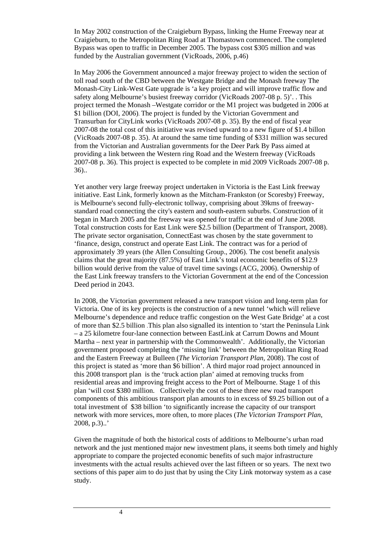In May 2002 construction of the Craigieburn Bypass, linking the Hume Freeway near at Craigieburn, to the Metropolitan Ring Road at Thomastown commenced. The completed Bypass was open to traffic in December 2005. The bypass cost \$305 million and was funded by the Australian government (VicRoads, 2006, p.46)

In May 2006 the Government announced a major freeway project to widen the section of toll road south of the CBD between the Westgate Bridge and the Monash freeway The Monash-City Link-West Gate upgrade is 'a key project and will improve traffic flow and safety along Melbourne's busiest freeway corridor (VicRoads 2007-08 p. 5)'. . This project termed the Monash –Westgate corridor or the M1 project was budgeted in 2006 at \$1 billion (DOI, 2006). The project is funded by the Victorian Government and Transurban for CityLink works (VicRoads 2007-08 p. 35). By the end of fiscal year 2007-08 the total cost of this initiative was revised upward to a new figure of \$1.4 billon (VicRoads 2007-08 p. 35). At around the same time funding of \$331 million was secured from the Victorian and Australian governments for the Deer Park By Pass aimed at providing a link between the Western ring Road and the Western freeway (VicRoads 2007-08 p. 36). This project is expected to be complete in mid 2009 VicRoads 2007-08 p. 36)..

Yet another very large freeway project undertaken in Victoria is the East Link freeway initiative. East Link, formerly known as the Mitcham-Frankston (or Scoresby) Freeway, is Melbourne's second fully-electronic tollway, comprising about 39kms of freewaystandard road connecting the city's eastern and south-eastern suburbs. Construction of it began in March 2005 and the freeway was opened for traffic at the end of June 2008. Total construction costs for East Link were \$2.5 billion (Department of Transport, 2008). The private sector organisation, ConnectEast was chosen by the state government to 'finance, design, construct and operate East Link. The contract was for a period of approximately 39 years (the Allen Consulting Group., 2006). The cost benefit analysis claims that the great majority (87.5%) of East Link's total economic benefits of \$12.9 billion would derive from the value of travel time savings (ACG, 2006). Ownership of the East Link freeway transfers to the Victorian Government at the end of the Concession Deed period in 2043.

In 2008, the Victorian government released a new transport vision and long-term plan for Victoria. One of its key projects is the construction of a new tunnel 'which will relieve Melbourne's dependence and reduce traffic congestion on the West Gate Bridge' at a cost of more than \$2.5 billion .This plan also signalled its intention to 'start the Peninsula Link – a 25 kilometre four-lane connection between EastLink at Carrum Downs and Mount Martha – next year in partnership with the Commonwealth'. Additionally, the Victorian government proposed completing the 'missing link' between the Metropolitan Ring Road and the Eastern Freeway at Bulleen (*The Victorian Transport Plan*, 2008). The cost of this project is stated as 'more than \$6 billion'. A third major road project announced in this 2008 transport plan is the 'truck action plan' aimed at removing trucks from residential areas and improving freight access to the Port of Melbourne. Stage 1 of this plan 'will cost \$380 million. Collectively the cost of these three new road transport components of this ambitious transport plan amounts to in excess of \$9.25 billion out of a total investment of \$38 billion 'to significantly increase the capacity of our transport network with more services, more often, to more places (*The Victorian Transport Plan*, 2008, p.3)..'

Given the magnitude of both the historical costs of additions to Melbourne's urban road network and the just mentioned major new investment plans, it seems both timely and highly appropriate to compare the projected economic benefits of such major infrastructure investments with the actual results achieved over the last fifteen or so years. The next two sections of this paper aim to do just that by using the City Link motorway system as a case study.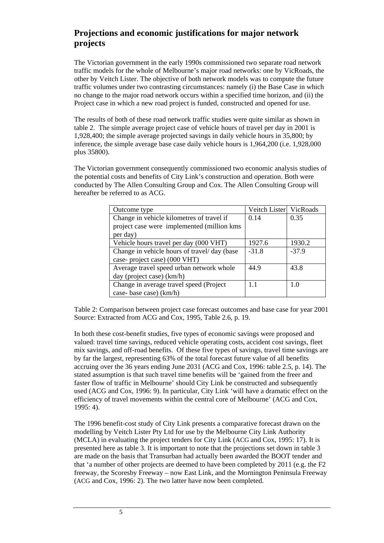# **Projections and economic justifications for major network projects**

The Victorian government in the early 1990s commissioned two separate road network traffic models for the whole of Melbourne's major road networks: one by VicRoads, the other by Veitch Lister. The objective of both network models was to compute the future traffic volumes under two contrasting circumstances: namely (i) the Base Case in which no change to the major road network occurs within a specified time horizon, and (ii) the Project case in which a new road project is funded, constructed and opened for use.

The results of both of these road network traffic studies were quite similar as shown in table 2. The simple average project case of vehicle hours of travel per day in 2001 is 1,928,400; the simple average projected savings in daily vehicle hours in 35,800; by inference, the simple average base case daily vehicle hours is 1,964,200 (i.e. 1,928,000 plus 35800).

The Victorian government consequently commissioned two economic analysis studies of the potential costs and benefits of City Link's construction and operation. Both were conducted by The Allen Consulting Group and Cox. The Allen Consulting Group will hereafter be referred to as ACG.

| Outcome type                                | Veitch Lister VicRoads |         |
|---------------------------------------------|------------------------|---------|
| Change in vehicle kilometres of travel if   | 0.14                   | 0.35    |
| project case were implemented (million kms  |                        |         |
| per day)                                    |                        |         |
| Vehicle hours travel per day (000 VHT)      | 1927.6                 | 1930.2  |
| Change in vehicle hours of travel/day (base | $-31.8$                | $-37.9$ |
| case-project case) (000 VHT)                |                        |         |
| Average travel speed urban network whole    | 44.9                   | 43.8    |
| day (project case) (km/h)                   |                        |         |
| Change in average travel speed (Project)    | 11                     | 10      |
| case-base case) (km/h)                      |                        |         |

Table 2: Comparison between project case forecast outcomes and base case for year 2001 Source: Extracted from ACG and Cox, 1995, Table 2.6, p. 19.

In both these cost-benefit studies, five types of economic savings were proposed and valued: travel time savings, reduced vehicle operating costs, accident cost savings, fleet mix savings, and off-road benefits. Of these five types of savings, travel time savings are by far the largest, representing 63% of the total forecast future value of all benefits accruing over the 36 years ending June 2031 (ACG and Cox, 1996: table 2.5, p. 14). The stated assumption is that such travel time benefits will be 'gained from the freer and faster flow of traffic in Melbourne' should City Link be constructed and subsequently used (ACG and Cox, 1996: 9). In particular, City Link 'will have a dramatic effect on the efficiency of travel movements within the central core of Melbourne' (ACG and Cox, 1995: 4).

The 1996 benefit-cost study of City Link presents a comparative forecast drawn on the modelling by Veitch Lister Pty Ltd for use by the Melbourne City Link Authority (MCLA) in evaluating the project tenders for City Link (ACG and Cox, 1995: 17). It is presented here as table 3. It is important to note that the projections set down in table 3 are made on the basis that Transurban had actually been awarded the BOOT tender and that 'a number of other projects are deemed to have been completed by 2011 (e.g. the F2 freeway, the Scoresby Freeway – now East Link, and the Mornington Peninsula Freeway (ACG and Cox, 1996: 2). The two latter have now been completed.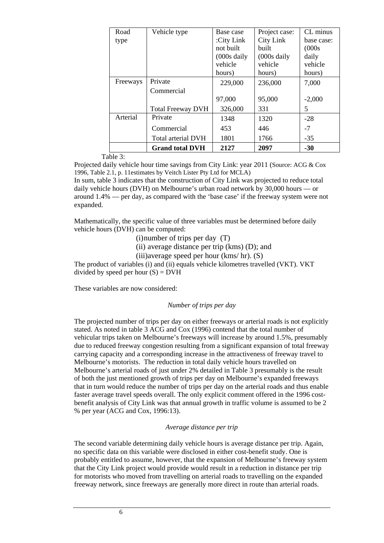| Road     | Vehicle type             | Base case              | Project case:          | CL minus   |
|----------|--------------------------|------------------------|------------------------|------------|
| type     |                          | :City Link             | City Link              | base case: |
|          |                          | not built              | built                  | (000s      |
|          |                          | $(000s \text{ daily})$ | $(000s \text{ daily})$ | daily      |
|          |                          | vehicle                | vehicle                | vehicle    |
|          |                          | hours)                 | hours)                 | hours)     |
| Freeways | Private                  | 229,000                | 236,000                | 7,000      |
|          | Commercial               |                        |                        |            |
|          |                          | 97,000                 | 95,000                 | $-2,000$   |
|          | <b>Total Freeway DVH</b> | 326,000                | 331                    | 5          |
| Arterial | Private                  | 1348                   | 1320                   | $-28$      |
|          | Commercial               | 453                    | 446                    | $-7$       |
|          | Total arterial DVH       | 1801                   | 1766                   | $-35$      |
|          | <b>Grand total DVH</b>   | 2127                   | 2097                   | $-30$      |

Table 3:

Projected daily vehicle hour time savings from City Link: year 2011 (Source: ACG & Cox 1996, Table 2.1, p. 11estimates by Veitch Lister Pty Ltd for MCLA)

In sum, table 3 indicates that the construction of City Link was projected to reduce total daily vehicle hours (DVH) on Melbourne's urban road network by 30,000 hours — or around 1.4% — per day, as compared with the 'base case' if the freeway system were not expanded.

Mathematically, the specific value of three variables must be determined before daily vehicle hours (DVH) can be computed:

(i)number of trips per day (T)

(ii) average distance per trip (kms) (D); and

(iii)average speed per hour (kms/ hr). (S)

The product of variables (i) and (ii) equals vehicle kilometres travelled (VKT). VKT divided by speed per hour  $(S) = D V H$ 

These variables are now considered:

*Number of trips per day* 

The projected number of trips per day on either freeways or arterial roads is not explicitly stated. As noted in table 3 ACG and Cox (1996) contend that the total number of vehicular trips taken on Melbourne's freeways will increase by around 1.5%, presumably due to reduced freeway congestion resulting from a significant expansion of total freeway carrying capacity and a corresponding increase in the attractiveness of freeway travel to Melbourne's motorists. The reduction in total daily vehicle hours travelled on Melbourne's arterial roads of just under 2% detailed in Table 3 presumably is the result of both the just mentioned growth of trips per day on Melbourne's expanded freeways that in turn would reduce the number of trips per day on the arterial roads and thus enable faster average travel speeds overall. The only explicit comment offered in the 1996 costbenefit analysis of City Link was that annual growth in traffic volume is assumed to be 2 % per year (ACG and Cox, 1996:13).

#### *Average distance per trip*

The second variable determining daily vehicle hours is average distance per trip. Again, no specific data on this variable were disclosed in either cost-benefit study. One is probably entitled to assume, however, that the expansion of Melbourne's freeway system that the City Link project would provide would result in a reduction in distance per trip for motorists who moved from travelling on arterial roads to travelling on the expanded freeway network, since freeways are generally more direct in route than arterial roads.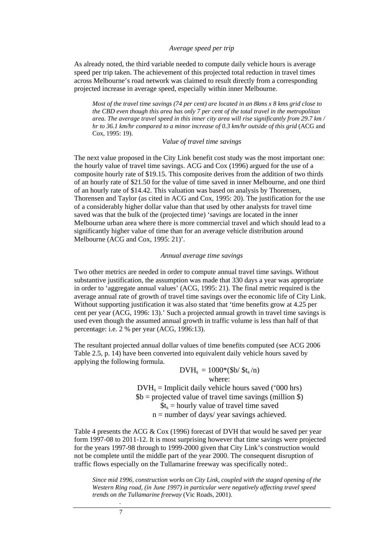#### *Average speed per trip*

As already noted, the third variable needed to compute daily vehicle hours is average speed per trip taken. The achievement of this projected total reduction in travel times across Melbourne's road network was claimed to result directly from a corresponding projected increase in average speed, especially within inner Melbourne.

*Most of the travel time savings (74 per cent) are located in an 8kms x 8 kms grid close to the CBD even though this area has only 7 per cent of the total travel in the metropolitan area. The average travel speed in this inner city area will rise significantly from 29.7 km / hr to 36.1 km/hr compared to a minor increase of 0.3 km/hr outside of this grid* (ACG and Cox, 1995: 19).

#### *Value of travel time savings*

The next value proposed in the City Link benefit cost study was the most important one: the hourly value of travel time savings. ACG and Cox (1996) argued for the use of a composite hourly rate of \$19.15. This composite derives from the addition of two thirds of an hourly rate of \$21.50 for the value of time saved in inner Melbourne, and one third of an hourly rate of \$14.42. This valuation was based on analysis by Thorensen, Thorensen and Taylor (as cited in ACG and Cox, 1995: 20). The justification for the use of a considerably higher dollar value than that used by other analysts for travel time saved was that the bulk of the (projected time) 'savings are located in the inner Melbourne urban area where there is more commercial travel and which should lead to a significantly higher value of time than for an average vehicle distribution around Melbourne (ACG and Cox, 1995: 21)'.

#### *Annual average time savings*

Two other metrics are needed in order to compute annual travel time savings. Without substantive justification, the assumption was made that 330 days a year was appropriate in order to 'aggregate annual values' (ACG, 1995: 21). The final metric required is the average annual rate of growth of travel time savings over the economic life of City Link. Without supporting justification it was also stated that 'time benefits grow at 4.25 per cent per year (ACG, 1996: 13).' Such a projected annual growth in travel time savings is used even though the assumed annual growth in traffic volume is less than half of that percentage: i.e. 2 % per year (ACG, 1996:13).

The resultant projected annual dollar values of time benefits computed (see ACG 2006 Table 2.5, p. 14) have been converted into equivalent daily vehicle hours saved by applying the following formula.

> $DVH_s = 1000*(\text{Sb}/\text{St}_s/n)$ where:  $DVH<sub>s</sub>$  = Implicit daily vehicle hours saved ('000 hrs)  $$b = projected value of travel time savings (million $)$  $\text{St}_s = \text{hourly value of travel time saved}$  $n =$  number of days/ year savings achieved.

Table 4 presents the ACG  $& \text{Cox}$  (1996) forecast of DVH that would be saved per year form 1997-08 to 2011-12. It is most surprising however that time savings were projected for the years 1997-98 through to 1999-2000 given that City Link's construction would not be complete until the middle part of the year 2000. The consequent disruption of traffic flows especially on the Tullamarine freeway was specifically noted:.

*Since mid 1996, construction works on City Link, coupled with the staged opening of the Western Ring road, (in June 1997) in particular were negatively affecting travel speed trends on the Tullamarine freeway* (Vic Roads, 2001).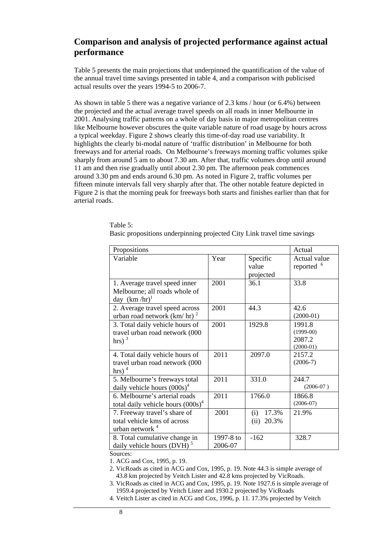# **Comparison and analysis of projected performance against actual performance**

Table 5 presents the main projections that underpinned the quantification of the value of the annual travel time savings presented in table 4, and a comparison with publicised actual results over the years 1994-5 to 2006-7.

As shown in table 5 there was a negative variance of 2.3 kms / hour (or 6.4%) between the projected and the actual average travel speeds on all roads in inner Melbourne in 2001. Analysing traffic patterns on a whole of day basis in major metropolitan centres like Melbourne however obscures the quite variable nature of road usage by hours across a typical weekday. Figure 2 shows clearly this time-of-day road use variability. It highlights the clearly bi-modal nature of 'traffic distribution' in Melbourne for both freeways and for arterial roads. On Melbourne's freeways morning traffic volumes spike sharply from around 5 am to about 7.30 am. After that, traffic volumes drop until around 11 am and then rise gradually until about 2.30 pm. The afternoon peak commences around 3.30 pm and ends around 6.30 pm. As noted in Figure 2, traffic volumes per fifteen minute intervals fall very sharply after that. The other notable feature depicted in Figure 2 is that the morning peak for freeways both starts and finishes earlier than that for arterial roads.

| Propositions                           | Actual    |               |              |
|----------------------------------------|-----------|---------------|--------------|
| Variable                               | Year      | Specific      | Actual value |
|                                        |           | value         | reported     |
|                                        |           | projected     |              |
| 1. Average travel speed inner          | 2001      | 36.1          | 33.8         |
| Melbourne; all roads whole of          |           |               |              |
| day $(km/hr)^1$                        |           |               |              |
| 2. Average travel speed across         | 2001      | 44.3          | 42.6         |
| urban road network $(km/hr)^2$         |           |               | $(2000-01)$  |
| 3. Total daily vehicle hours of        | 2001      | 1929.8        | 1991.8       |
| travel urban road network (000         |           |               | $(1999-00)$  |
| $hrs$ ) <sup>3</sup>                   |           |               | 2087.2       |
|                                        |           |               | $(2000-01)$  |
| 4. Total daily vehicle hours of        | 2011      | 2097.0        | 2157.2       |
| travel urban road network (000         |           |               | $(2006-7)$   |
| hrs) $4$                               |           |               |              |
| 5. Melbourne's freeways total          | 2011      | 331.0         | 244.7        |
| daily vehicle hours $(000s)^4$         |           |               | $(2006-07)$  |
| 6. Melbourne's arterial roads          | 2011      | 1766.0        | 1866.8       |
| total daily vehicle hours $(000s)^4$   |           |               | $(2006-07)$  |
| 7. Freeway travel's share of           | 2001      | 17.3%<br>(i)  | 21.9%        |
| total vehicle kms of across            |           | 20.3%<br>(ii) |              |
| urban network <sup>4</sup>             |           |               |              |
| 8. Total cumulative change in          | 1997-8 to | $-162$        | 328.7        |
| daily vehicle hours (DVH) <sup>5</sup> | 2006-07   |               |              |

Table 5: Basic propositions underpinning projected City Link travel time savings

Sources:

- 1. ACG and Cox, 1995, p. 19. 2. VicRoads as cited in ACG and Cox, 1995, p. 19. Note 44.3 is simple average of 43.8 km projected by Veitch Lister and 42.8 kms projected by VicRoads.
- 3. VicRoads as cited in ACG and Cox, 1995, p. 19. Note 1927.6 is simple average of 1959.4 projected by Veitch Lister and 1930.2 projected by VicRoads
- 4. Veitch Lister as cited in ACG and Cox, 1996, p. 11. 17.3% projected by Veitch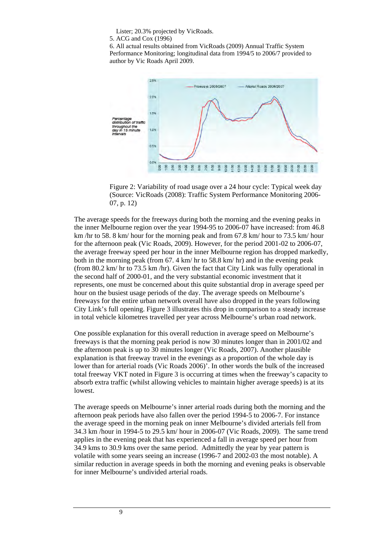Lister; 20.3% projected by VicRoads.

5. ACG and Cox (1996)

6. All actual results obtained from VicRoads (2009) Annual Traffic System Performance Monitoring; longitudinal data from 1994/5 to 2006/7 provided to author by Vic Roads April 2009.



Figure 2: Variability of road usage over a 24 hour cycle: Typical week day (Source: VicRoads (2008): Traffic System Performance Monitoring 2006- 07, p. 12)

The average speeds for the freeways during both the morning and the evening peaks in the inner Melbourne region over the year 1994-95 to 2006-07 have increased: from 46.8 km /hr to 58. 8 km/ hour for the morning peak and from 67.8 km/ hour to 73.5 km/ hour for the afternoon peak (Vic Roads, 2009). However, for the period 2001-02 to 2006-07, the average freeway speed per hour in the inner Melbourne region has dropped markedly, both in the morning peak (from 67. 4 km/ hr to 58.8 km/ hr) and in the evening peak (from 80.2 km/ hr to 73.5 km /hr). Given the fact that City Link was fully operational in the second half of 2000-01, and the very substantial economic investment that it represents, one must be concerned about this quite substantial drop in average speed per hour on the busiest usage periods of the day. The average speeds on Melbourne's freeways for the entire urban network overall have also dropped in the years following City Link's full opening. Figure 3 illustrates this drop in comparison to a steady increase in total vehicle kilometres travelled per year across Melbourne's urban road network.

One possible explanation for this overall reduction in average speed on Melbourne's freeways is that the morning peak period is now 30 minutes longer than in 2001/02 and the afternoon peak is up to 30 minutes longer (Vic Roads, 2007). Another plausible explanation is that freeway travel in the evenings as a proportion of the whole day is lower than for arterial roads (Vic Roads 2006)'. In other words the bulk of the increased total freeway VKT noted in Figure 3 is occurring at times when the freeway's capacity to absorb extra traffic (whilst allowing vehicles to maintain higher average speeds) is at its lowest.

The average speeds on Melbourne's inner arterial roads during both the morning and the afternoon peak periods have also fallen over the period 1994-5 to 2006-7. For instance the average speed in the morning peak on inner Melbourne's divided arterials fell from 34.3 km /hour in 1994-5 to 29.5 km/ hour in 2006-07 (Vic Roads, 2009). The same trend applies in the evening peak that has experienced a fall in average speed per hour from 34.9 kms to 30.9 kms over the same period. Admittedly the year by year pattern is volatile with some years seeing an increase (1996-7 and 2002-03 the most notable). A similar reduction in average speeds in both the morning and evening peaks is observable for inner Melbourne's undivided arterial roads.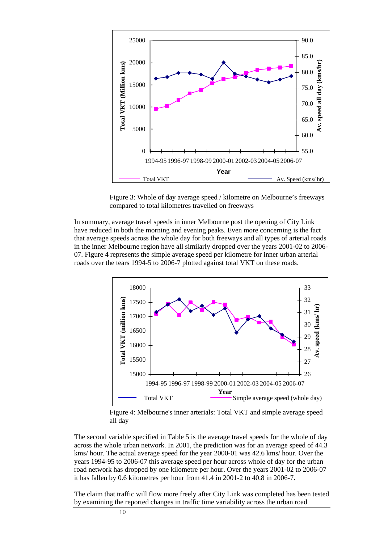

Figure 3: Whole of day average speed / kilometre on Melbourne's freeways compared to total kilometres travelled on freeways

In summary, average travel speeds in inner Melbourne post the opening of City Link have reduced in both the morning and evening peaks. Even more concerning is the fact that average speeds across the whole day for both freeways and all types of arterial roads in the inner Melbourne region have all similarly dropped over the years 2001-02 to 2006- 07. Figure 4 represents the simple average speed per kilometre for inner urban arterial roads over the tears 1994-5 to 2006-7 plotted against total VKT on these roads.



Figure 4: Melbourne's inner arterials: Total VKT and simple average speed all day

The second variable specified in Table 5 is the average travel speeds for the whole of day across the whole urban network. In 2001, the prediction was for an average speed of 44.3 kms/ hour. The actual average speed for the year 2000-01 was 42.6 kms/ hour. Over the years 1994-95 to 2006-07 this average speed per hour across whole of day for the urban road network has dropped by one kilometre per hour. Over the years 2001-02 to 2006-07 it has fallen by 0.6 kilometres per hour from 41.4 in 2001-2 to 40.8 in 2006-7.

The claim that traffic will flow more freely after City Link was completed has been tested by examining the reported changes in traffic time variability across the urban road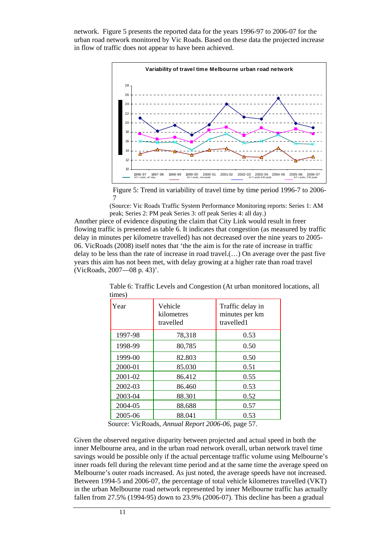network. Figure 5 presents the reported data for the years 1996-97 to 2006-07 for the urban road network monitored by Vic Roads. Based on these data the projected increase in flow of traffic does not appear to have been achieved.



Figure 5: Trend in variability of travel time by time period 1996-7 to 2006- 7

(Source: Vic Roads Traffic System Performance Monitoring reports: Series 1: AM peak; Series 2: PM peak Series 3: off peak Series 4: all day.)

Another piece of evidence disputing the claim that City Link would result in freer flowing traffic is presented as table 6. It indicates that congestion (as measured by traffic delay in minutes per kilometre travelled) has not decreased over the nine years to 2005- 06. VicRoads (2008) itself notes that 'the the aim is for the rate of increase in traffic delay to be less than the rate of increase in road travel.(…) On average over the past five years this aim has not been met, with delay growing at a higher rate than road travel (VicRoads, 2007—08 p. 43)'.

| Year    | Vehicle<br>kilometres<br>travelled | Traffic delay in<br>minutes per km<br>travelled1 |
|---------|------------------------------------|--------------------------------------------------|
| 1997-98 | 78,318                             | 0.53                                             |
| 1998-99 | 80,785                             | 0.50                                             |
| 1999-00 | 82.803                             | 0.50                                             |
| 2000-01 | 85.030                             | 0.51                                             |
| 2001-02 | 86.412                             | 0.55                                             |
| 2002-03 | 86.460                             | 0.53                                             |
| 2003-04 | 88.301                             | 0.52                                             |
| 2004-05 | 88.688                             | 0.57                                             |
| 2005-06 | 88.041                             | 0.53                                             |

Table 6: Traffic Levels and Congestion (At urban monitored locations, all times)

Source: VicRoads, *Annual Report 2006-06*, page 57.

Given the observed negative disparity between projected and actual speed in both the inner Melbourne area, and in the urban road network overall, urban network travel time savings would be possible only if the actual percentage traffic volume using Melbourne's inner roads fell during the relevant time period and at the same time the average speed on Melbourne's outer roads increased. As just noted, the average speeds have not increased. Between 1994-5 and 2006-07, the percentage of total vehicle kilometres travelled (VKT) in the urban Melbourne road network represented by inner Melbourne traffic has actually fallen from 27.5% (1994-95) down to 23.9% (2006-07). This decline has been a gradual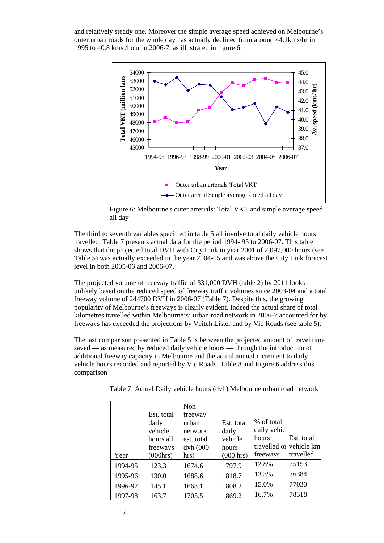and relatively steady one. Moreover the simple average speed achieved on Melbourne's outer urban roads for the whole day has actually declined from around 44.1kms/hr in 1995 to 40.8 kms /hour in 2006-7, as illustrated in figure 6.



Figure 6: Melbourne's outer arterials: Total VKT and simple average speed all day

The third to seventh variables specified in table 5 all involve total daily vehicle hours travelled. Table 7 presents actual data for the period 1994- 95 to 2006-07. This table shows that the projected total DVH with City Link in year 2001 of 2,097,000 hours (see Table 5) was actually exceeded in the year 2004-05 and was above the City Link forecast level in both 2005-06 and 2006-07.

The projected volume of freeway traffic of 331,000 DVH (table 2) by 2011 looks unlikely based on the reduced speed of freeway traffic volumes since 2003-04 and a total freeway volume of 244700 DVH in 2006-07 (Table 7). Despite this, the growing popularity of Melbourne's freeways is clearly evident. Indeed the actual share of total kilometres travelled within Melbourne's' urban road network in 2006-7 accounted for by freeways has exceeded the projections by Veitch Lister and by Vic Roads (see table 5).

The last comparison presented in Table 5 is between the projected amount of travel time saved — as measured by reduced daily vehicle hours — through the introduction of additional freeway capacity in Melbourne and the actual annual increment to daily vehicle hours recorded and reported by Vic Roads. Table 8 and Figure 6 address this comparison

Table 7: Actual Daily vehicle hours (dvh) Melbourne urban road network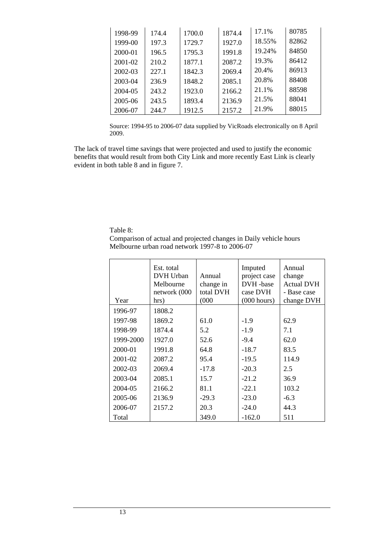| 1998-99 | 174.4 | 1700.0 | 1874.4 | 17.1%  | 80785 |
|---------|-------|--------|--------|--------|-------|
| 1999-00 | 197.3 | 1729.7 | 1927.0 | 18.55% | 82862 |
| 2000-01 | 196.5 | 1795.3 | 1991.8 | 19.24% | 84850 |
| 2001-02 | 210.2 | 1877.1 | 2087.2 | 19.3%  | 86412 |
| 2002-03 | 227.1 | 1842.3 | 2069.4 | 20.4%  | 86913 |
| 2003-04 | 236.9 | 1848.2 | 2085.1 | 20.8%  | 88408 |
| 2004-05 | 243.2 | 1923.0 | 2166.2 | 21.1%  | 88598 |
| 2005-06 | 243.5 | 1893.4 | 2136.9 | 21.5%  | 88041 |
| 2006-07 | 244.7 | 1912.5 | 2157.2 | 21.9%  | 88015 |

Source: 1994-95 to 2006-07 data supplied by VicRoads electronically on 8 April 2009.

The lack of travel time savings that were projected and used to justify the economic benefits that would result from both City Link and more recently East Link is clearly evident in both table 8 and in figure 7.

Table 8:

Comparison of actual and projected changes in Daily vehicle hours Melbourne urban road network 1997-8 to 2006-07

| Year      | Est. total<br>DVH Urban<br>Melbourne<br>network (000<br>hrs) | Annual<br>change in<br>total DVH<br>(000) | Imputed<br>project case<br>DVH-base<br>case DVH<br>(000 hours) | Annual<br>change<br><b>Actual DVH</b><br>- Base case<br>change DVH |
|-----------|--------------------------------------------------------------|-------------------------------------------|----------------------------------------------------------------|--------------------------------------------------------------------|
| 1996-97   | 1808.2                                                       |                                           |                                                                |                                                                    |
| 1997-98   | 1869.2                                                       | 61.0                                      | $-1.9$                                                         | 62.9                                                               |
| 1998-99   | 1874.4                                                       | 5.2                                       | $-1.9$                                                         | 7.1                                                                |
| 1999-2000 | 1927.0                                                       | 52.6                                      | $-9.4$                                                         | 62.0                                                               |
| 2000-01   | 1991.8                                                       | 64.8                                      | $-18.7$                                                        | 83.5                                                               |
| 2001-02   | 2087.2                                                       | 95.4                                      | $-19.5$                                                        | 114.9                                                              |
| 2002-03   | 2069.4                                                       | $-17.8$                                   | $-20.3$                                                        | 2.5                                                                |
| 2003-04   | 2085.1                                                       | 15.7                                      | $-21.2$                                                        | 36.9                                                               |
| 2004-05   | 2166.2                                                       | 81.1                                      | $-22.1$                                                        | 103.2                                                              |
| 2005-06   | 2136.9                                                       | $-29.3$                                   | $-23.0$                                                        | $-6.3$                                                             |
| 2006-07   | 2157.2                                                       | 20.3                                      | $-24.0$                                                        | 44.3                                                               |
| Total     |                                                              | 349.0                                     | $-162.0$                                                       | 511                                                                |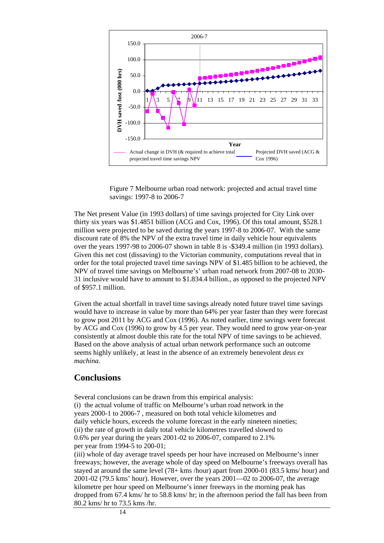

Figure 7 Melbourne urban road network: projected and actual travel time savings: 1997-8 to 2006-7

The Net present Value (in 1993 dollars) of time savings projected for City Link over thirty six years was \$1.4851 billion (ACG and Cox, 1996). Of this total amount, \$528.1 million were projected to be saved during the years 1997-8 to 2006-07. With the same discount rate of 8% the NPV of the extra travel time in daily vehicle hour equivalents over the years 1997-98 to 2006-07 shown in table 8 is -\$349.4 million (in 1993 dollars). Given this net cost (dissaving) to the Victorian community, computations reveal that in order for the total projected travel time savings NPV of \$1.485 billion to be achieved, the NPV of travel time savings on Melbourne's' urban road network from 2007-08 to 2030- 31 inclusive would have to amount to \$1.834.4 billion., as opposed to the projected NPV of \$957.1 million.

Given the actual shortfall in travel time savings already noted future travel time savings would have to increase in value by more than 64% per year faster than they were forecast to grow post 2011 by ACG and Cox (1996). As noted earlier, time savings were forecast by ACG and Cox (1996) to grow by 4.5 per year. They would need to grow year-on-year consistently at almost double this rate for the total NPV of time savings to be achieved. Based on the above analysis of actual urban network performance such an outcome seems highly unlikely, at least in the absence of an extremely benevolent *deus ex machina.*

## **Conclusions**

Several conclusions can be drawn from this empirical analysis: (i) the actual volume of traffic on Melbourne's urban road network in the years 2000-1 to 2006-7 , measured on both total vehicle kilometres and daily vehicle hours, exceeds the volume forecast in the early nineteen nineties; (ii) the rate of growth in daily total vehicle kilometres travelled slowed to 0.6% per year during the years 2001-02 to 2006-07, compared to 2.1% per year from 1994-5 to 200-01;

(iii) whole of day average travel speeds per hour have increased on Melbourne's inner freeways; however, the average whole of day speed on Melbourne's freeways overall has stayed at around the same level (78+ kms /hour) apart from 2000-01 (83.5 kms/ hour) and 2001-02 (79.5 kms' hour). However, over the years 2001—02 to 2006-07, the average kilometre per hour speed on Melbourne's inner freeways in the morning peak has dropped from 67.4 kms/ hr to 58.8 kms/ hr; in the afternoon period the fall has been from 80.2 kms/ hr to 73.5 kms /hr.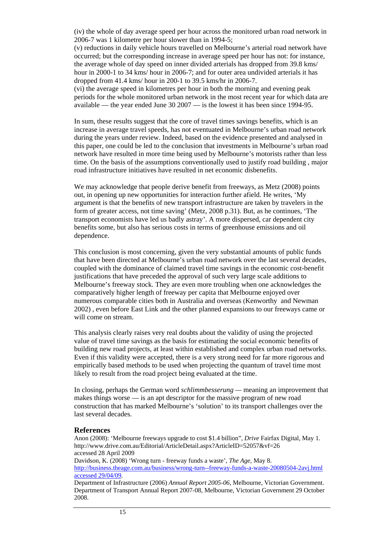(iv) the whole of day average speed per hour across the monitored urban road network in 2006-7 was 1 kilometre per hour slower than in 1994-5;

(v) reductions in daily vehicle hours travelled on Melbourne's arterial road network have occurred; but the corresponding increase in average speed per hour has not: for instance, the average whole of day speed on inner divided arterials has dropped from 39.8 kms/ hour in 2000-1 to 34 kms/ hour in 2006-7; and for outer area undivided arterials it has dropped from 41.4 kms/ hour in 200-1 to 39.5 kms/hr in 2006-7.

(vi) the average speed in kilometres per hour in both the morning and evening peak periods for the whole monitored urban network in the most recent year for which data are available — the year ended June 30 2007 — is the lowest it has been since 1994-95.

In sum, these results suggest that the core of travel times savings benefits, which is an increase in average travel speeds, has not eventuated in Melbourne's urban road network during the years under review. Indeed, based on the evidence presented and analysed in this paper, one could be led to the conclusion that investments in Melbourne's urban road network have resulted in more time being used by Melbourne's motorists rather than less time. On the basis of the assumptions conventionally used to justify road building , major road infrastructure initiatives have resulted in net economic disbenefits.

We may acknowledge that people derive benefit from freeways, as Metz (2008) points out, in opening up new opportunities for interaction further afield. He writes, 'My argument is that the benefits of new transport infrastructure are taken by travelers in the form of greater access, not time saving' (Metz, 2008 p.31). But, as he continues, 'The transport economists have led us badly astray'. A more dispersed, car dependent city benefits some, but also has serious costs in terms of greenhouse emissions and oil dependence.

This conclusion is most concerning, given the very substantial amounts of public funds that have been directed at Melbourne's urban road network over the last several decades, coupled with the dominance of claimed travel time savings in the economic cost-benefit justifications that have preceded the approval of such very large scale additions to Melbourne's freeway stock. They are even more troubling when one acknowledges the comparatively higher length of freeway per capita that Melbourne enjoyed over numerous comparable cities both in Australia and overseas (Kenworthy and Newman 2002) , even before East Link and the other planned expansions to our freeways came or will come on stream.

This analysis clearly raises very real doubts about the validity of using the projected value of travel time savings as the basis for estimating the social economic benefits of building new road projects, at least within established and complex urban road networks. Even if this validity were accepted, there is a very strong need for far more rigorous and empirically based methods to be used when projecting the quantum of travel time most likely to result from the road project being evaluated at the time.

In closing, perhaps the German word *schlimmbesserung —* meaning an improvement that makes things worse — is an apt descriptor for the massive program of new road construction that has marked Melbourne's 'solution' to its transport challenges over the last several decades.

### **References**

Anon (2008): 'Melbourne freeways upgrade to cost \$1.4 billion", *Drive* Fairfax Digital, May 1. http://www.drive.com.au/Editorial/ArticleDetail.aspx?ArticleID=52057&vf=26 accessed 28 April 2009

Davidson, K. (2008) 'Wrong turn - freeway funds a waste', *The Age*, May 8. [http://business.theage.com.au/business/wrong-turn--freeway-funds-a-waste-20080504-2avj.html](http://business.theage.com.au/business/wrong-turn--freeway-funds-a-waste-20080504-2avj.html%20accessed%2029/04/09)  [accessed 29/04/09](http://business.theage.com.au/business/wrong-turn--freeway-funds-a-waste-20080504-2avj.html%20accessed%2029/04/09).

Department of Infrastructure (2006) *Annual Report 2005-06*, Melbourne, Victorian Government. Department of Transport Annual Report 2007-08, Melbourne, Victorian Government 29 October 2008.